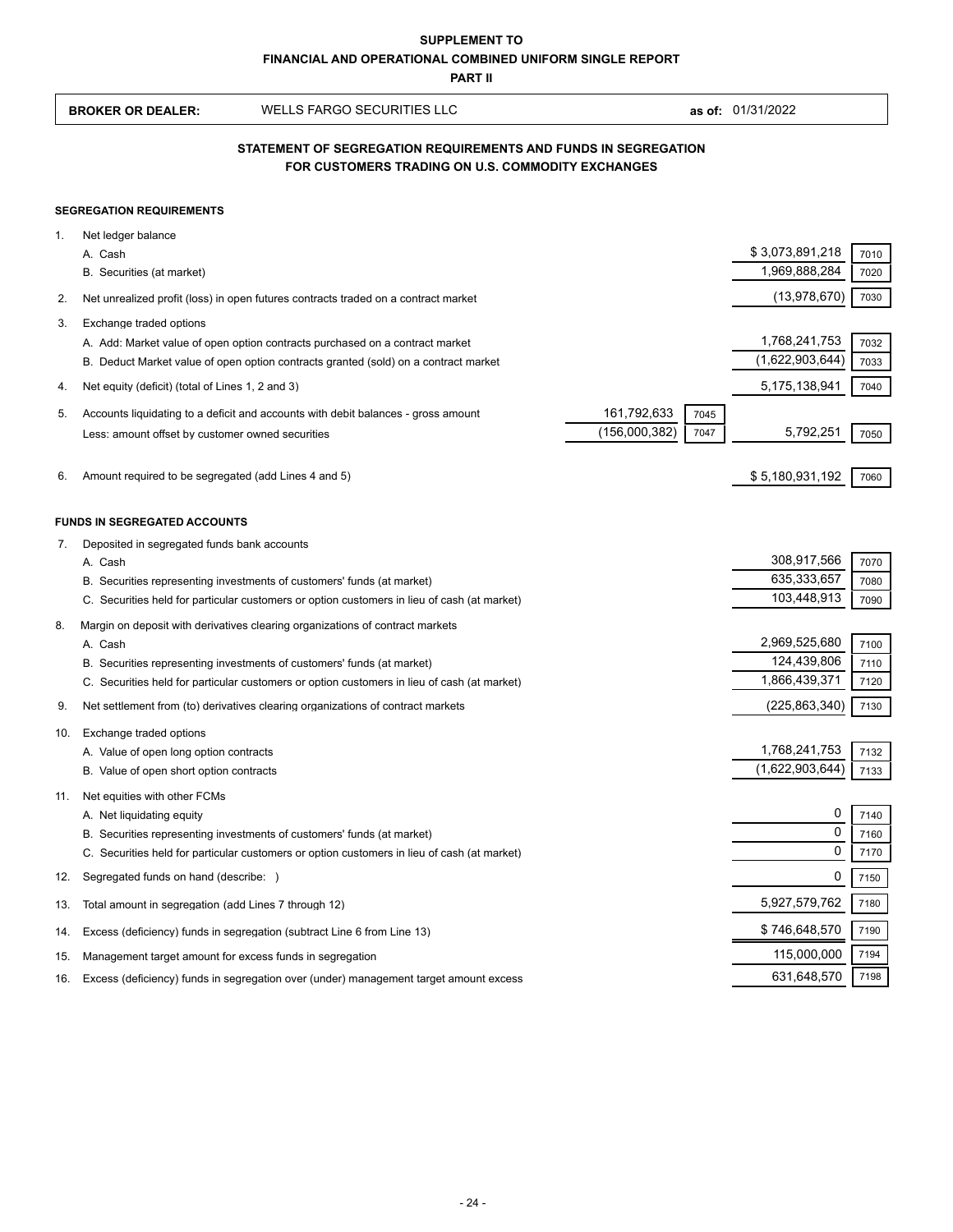|     | <b>SUPPLEMENT TO</b><br><b>FINANCIAL AND OPERATIONAL COMBINED UNIFORM SINGLE REPORT</b> |                                                                                                                                                                       |               |      |                              |              |  |  |
|-----|-----------------------------------------------------------------------------------------|-----------------------------------------------------------------------------------------------------------------------------------------------------------------------|---------------|------|------------------------------|--------------|--|--|
|     | <b>PART II</b>                                                                          |                                                                                                                                                                       |               |      |                              |              |  |  |
|     | <b>BROKER OR DEALER:</b>                                                                | <b>WELLS FARGO SECURITIES LLC</b>                                                                                                                                     |               |      | as of: 01/31/2022            |              |  |  |
|     |                                                                                         | STATEMENT OF SEGREGATION REQUIREMENTS AND FUNDS IN SEGREGATION<br>FOR CUSTOMERS TRADING ON U.S. COMMODITY EXCHANGES                                                   |               |      |                              |              |  |  |
|     | <b>SEGREGATION REQUIREMENTS</b>                                                         |                                                                                                                                                                       |               |      |                              |              |  |  |
| 1.  | Net ledger balance                                                                      |                                                                                                                                                                       |               |      |                              |              |  |  |
|     | A. Cash                                                                                 |                                                                                                                                                                       |               |      | \$3,073,891,218              | 7010         |  |  |
|     | B. Securities (at market)                                                               |                                                                                                                                                                       |               |      | 1,969,888,284                | 7020         |  |  |
| 2.  |                                                                                         | Net unrealized profit (loss) in open futures contracts traded on a contract market                                                                                    |               |      | (13, 978, 670)               | 7030         |  |  |
| 3.  | Exchange traded options                                                                 |                                                                                                                                                                       |               |      |                              |              |  |  |
|     |                                                                                         | A. Add: Market value of open option contracts purchased on a contract market                                                                                          |               |      | 1,768,241,753                | 7032         |  |  |
|     |                                                                                         | B. Deduct Market value of open option contracts granted (sold) on a contract market                                                                                   |               |      | (1,622,903,644)              | 7033         |  |  |
| 4.  | Net equity (deficit) (total of Lines 1, 2 and 3)                                        |                                                                                                                                                                       |               |      | 5,175,138,941                | 7040         |  |  |
| 5.  |                                                                                         | Accounts liquidating to a deficit and accounts with debit balances - gross amount                                                                                     | 161,792,633   | 7045 |                              |              |  |  |
|     | Less: amount offset by customer owned securities                                        |                                                                                                                                                                       | (156,000,382) | 7047 | 5,792,251                    | 7050         |  |  |
| 6.  | Amount required to be segregated (add Lines 4 and 5)                                    |                                                                                                                                                                       |               |      | \$5,180,931,192              | 7060         |  |  |
|     | <b>FUNDS IN SEGREGATED ACCOUNTS</b>                                                     |                                                                                                                                                                       |               |      |                              |              |  |  |
| 7.  | Deposited in segregated funds bank accounts                                             |                                                                                                                                                                       |               |      |                              |              |  |  |
|     | A. Cash                                                                                 |                                                                                                                                                                       |               |      | 308,917,566                  | 7070         |  |  |
|     |                                                                                         | B. Securities representing investments of customers' funds (at market)                                                                                                |               |      | 635,333,657                  | 7080         |  |  |
|     |                                                                                         | C. Securities held for particular customers or option customers in lieu of cash (at market)                                                                           |               |      | 103,448,913                  | 7090         |  |  |
| 8.  |                                                                                         | Margin on deposit with derivatives clearing organizations of contract markets                                                                                         |               |      |                              |              |  |  |
|     | A. Cash                                                                                 | B. Securities representing investments of customers' funds (at market)                                                                                                |               |      | 2,969,525,680<br>124,439,806 | 7100<br>7110 |  |  |
|     |                                                                                         | C. Securities held for particular customers or option customers in lieu of cash (at market)                                                                           |               |      | 1,866,439,371                | 7120         |  |  |
| 9.  |                                                                                         | Net settlement from (to) derivatives clearing organizations of contract markets                                                                                       |               |      | (225, 863, 340)              | 7130         |  |  |
| 10. | Exchange traded options                                                                 |                                                                                                                                                                       |               |      |                              |              |  |  |
|     | A. Value of open long option contracts                                                  |                                                                                                                                                                       |               |      | 1,768,241,753                | 7132         |  |  |
|     | B. Value of open short option contracts                                                 |                                                                                                                                                                       |               |      | (1,622,903,644)              | 7133         |  |  |
| 11. | Net equities with other FCMs                                                            |                                                                                                                                                                       |               |      |                              |              |  |  |
|     | A. Net liquidating equity                                                               |                                                                                                                                                                       |               |      | 0<br>0                       | 7140         |  |  |
|     |                                                                                         | B. Securities representing investments of customers' funds (at market)<br>C. Securities held for particular customers or option customers in lieu of cash (at market) |               |      | 0                            | 7160<br>7170 |  |  |
| 12. | Segregated funds on hand (describe: )                                                   |                                                                                                                                                                       |               |      | 0                            | 7150         |  |  |
| 13. | Total amount in segregation (add Lines 7 through 12)                                    |                                                                                                                                                                       |               |      | 5,927,579,762                | 7180         |  |  |
| 14. |                                                                                         | Excess (deficiency) funds in segregation (subtract Line 6 from Line 13)                                                                                               |               |      | \$746,648,570                | 7190         |  |  |
| 15. | Management target amount for excess funds in segregation                                |                                                                                                                                                                       |               |      | 115,000,000                  | 7194         |  |  |
| 16. |                                                                                         | Excess (deficiency) funds in segregation over (under) management target amount excess                                                                                 |               |      | 631,648,570                  | 7198         |  |  |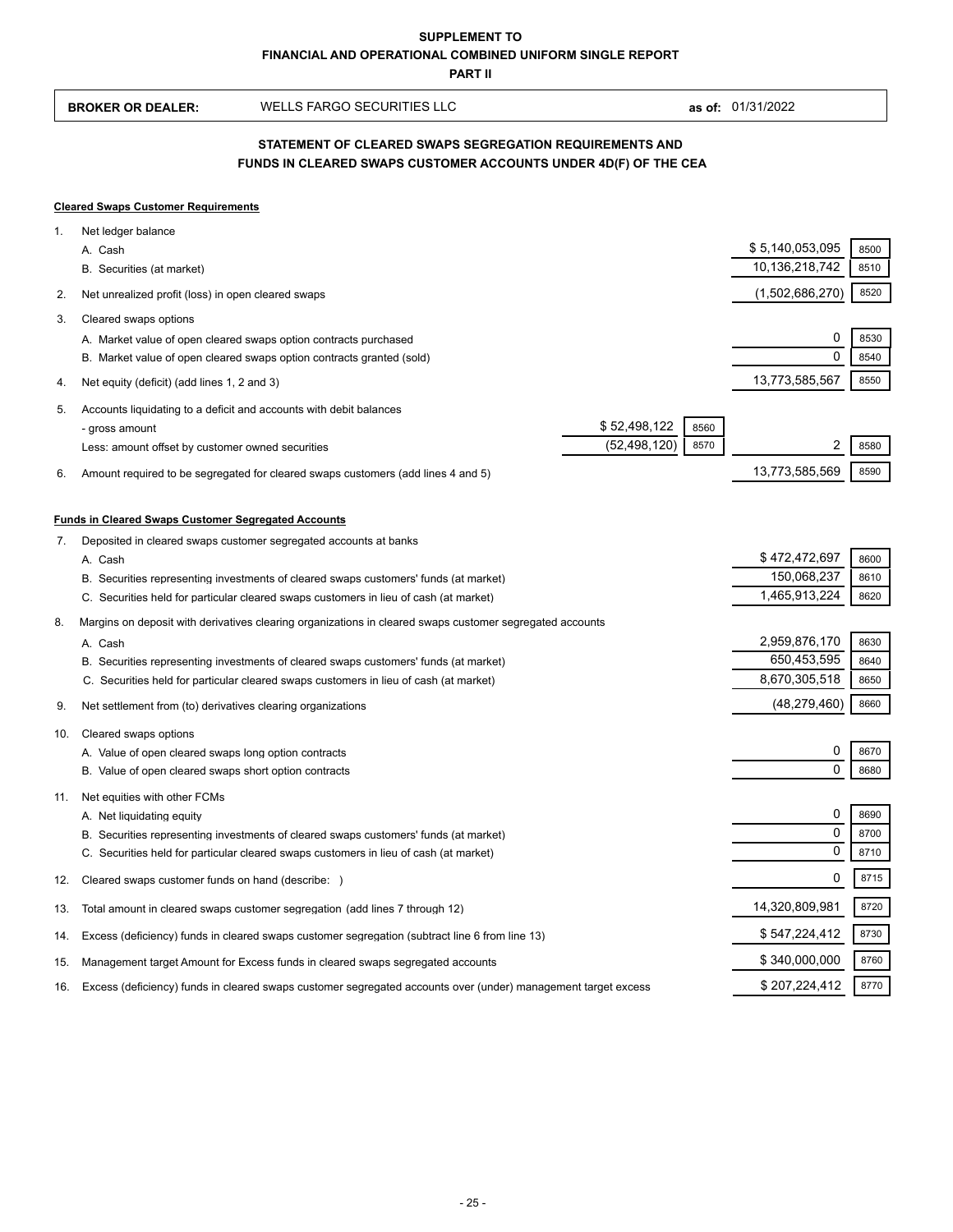**PART II**

| <b>BROKER OR DEALER:</b> | WELLS FARGO SECURITIES LLC | as of: 01/31/2022 |
|--------------------------|----------------------------|-------------------|
|                          |                            |                   |

## **FUNDS IN CLEARED SWAPS CUSTOMER ACCOUNTS UNDER 4D(F) OF THE CEA STATEMENT OF CLEARED SWAPS SEGREGATION REQUIREMENTS AND**

## **Cleared Swaps Customer Requirements**

| 1.  | Net ledger balance                                                                                            |                |      |                 |      |
|-----|---------------------------------------------------------------------------------------------------------------|----------------|------|-----------------|------|
|     | A. Cash                                                                                                       |                |      | \$5,140,053,095 | 8500 |
|     | B. Securities (at market)                                                                                     |                |      | 10,136,218,742  | 8510 |
| 2.  | Net unrealized profit (loss) in open cleared swaps                                                            |                |      | (1,502,686,270) | 8520 |
| 3.  | Cleared swaps options                                                                                         |                |      |                 |      |
|     | A. Market value of open cleared swaps option contracts purchased                                              |                |      | 0               | 8530 |
|     | B. Market value of open cleared swaps option contracts granted (sold)                                         |                |      | $\Omega$        | 8540 |
| 4.  | Net equity (deficit) (add lines 1, 2 and 3)                                                                   |                |      | 13,773,585,567  | 8550 |
| 5.  | Accounts liquidating to a deficit and accounts with debit balances                                            |                |      |                 |      |
|     | - gross amount                                                                                                | \$52,498,122   | 8560 |                 |      |
|     | Less: amount offset by customer owned securities                                                              | (52, 498, 120) | 8570 | 2               | 8580 |
| 6.  | Amount required to be segregated for cleared swaps customers (add lines 4 and 5)                              |                |      | 13,773,585,569  | 8590 |
|     | <b>Funds in Cleared Swaps Customer Segregated Accounts</b>                                                    |                |      |                 |      |
| 7.  | Deposited in cleared swaps customer segregated accounts at banks                                              |                |      |                 |      |
|     | A. Cash                                                                                                       |                |      | \$472,472,697   | 8600 |
|     | B. Securities representing investments of cleared swaps customers' funds (at market)                          |                |      | 150,068,237     | 8610 |
|     | C. Securities held for particular cleared swaps customers in lieu of cash (at market)                         |                |      | 1,465,913,224   | 8620 |
| 8.  | Margins on deposit with derivatives clearing organizations in cleared swaps customer segregated accounts      |                |      |                 |      |
|     | A. Cash                                                                                                       |                |      | 2,959,876,170   | 8630 |
|     | B. Securities representing investments of cleared swaps customers' funds (at market)                          |                |      | 650,453,595     | 8640 |
|     | C. Securities held for particular cleared swaps customers in lieu of cash (at market)                         |                |      | 8,670,305,518   | 8650 |
| 9.  | Net settlement from (to) derivatives clearing organizations                                                   |                |      | (48, 279, 460)  | 8660 |
| 10. | Cleared swaps options                                                                                         |                |      |                 |      |
|     | A. Value of open cleared swaps long option contracts                                                          |                |      | 0               | 8670 |
|     | B. Value of open cleared swaps short option contracts                                                         |                |      | 0               | 8680 |
| 11. | Net equities with other FCMs                                                                                  |                |      |                 |      |
|     | A. Net liquidating equity                                                                                     |                |      | 0               | 8690 |
|     | B. Securities representing investments of cleared swaps customers' funds (at market)                          |                |      | 0               | 8700 |
|     | C. Securities held for particular cleared swaps customers in lieu of cash (at market)                         |                |      | 0               | 8710 |
| 12. | Cleared swaps customer funds on hand (describe: )                                                             |                |      | 0               | 8715 |
| 13. | Total amount in cleared swaps customer segregation (add lines 7 through 12)                                   |                |      | 14,320,809,981  | 8720 |
| 14. | Excess (deficiency) funds in cleared swaps customer segregation (subtract line 6 from line 13)                |                |      | \$547,224,412   | 8730 |
| 15. | Management target Amount for Excess funds in cleared swaps segregated accounts                                |                |      | \$ 340,000,000  | 8760 |
| 16. | Excess (deficiency) funds in cleared swaps customer segregated accounts over (under) management target excess |                |      | \$207,224,412   | 8770 |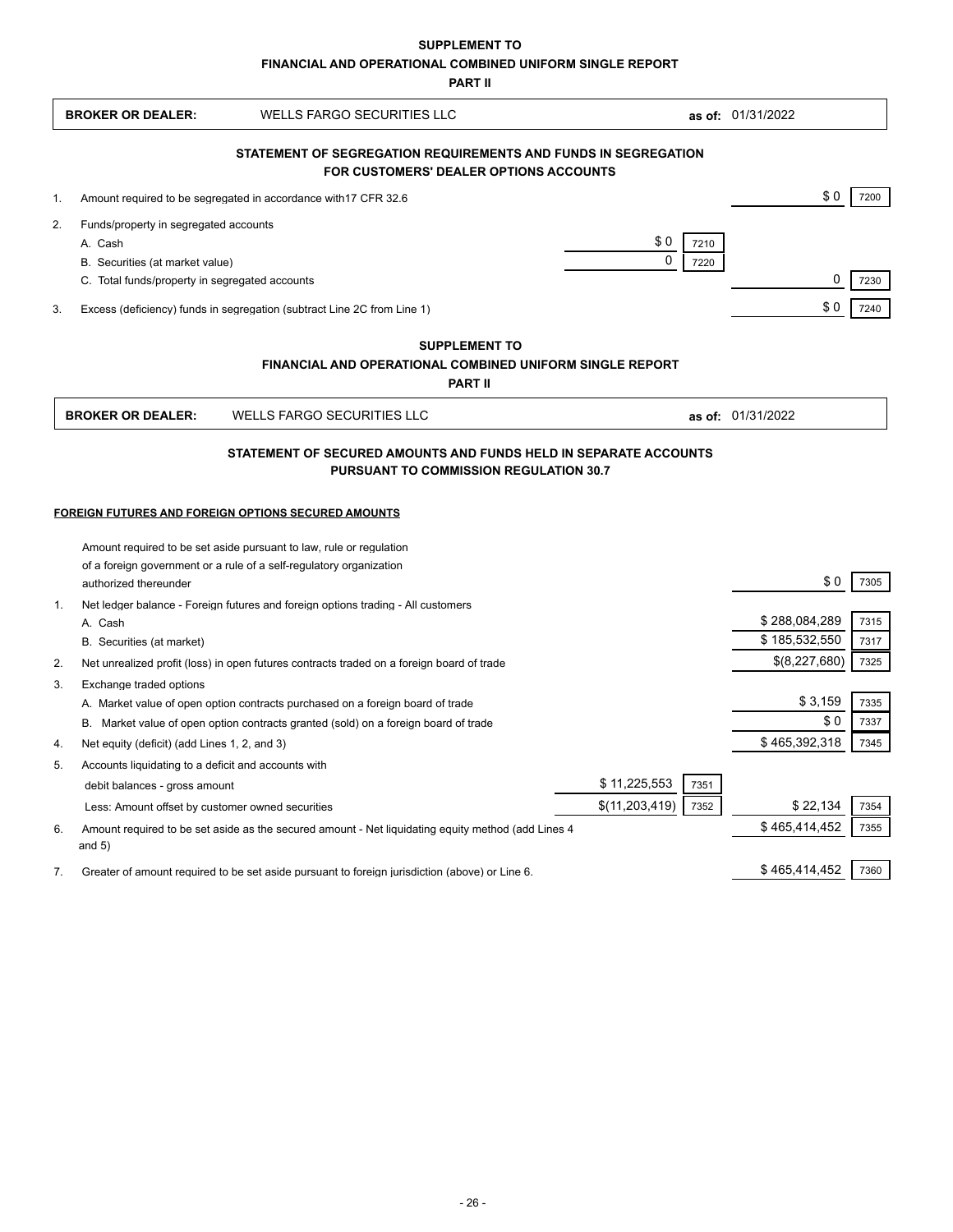**SUPPLEMENT TO**

**FINANCIAL AND OPERATIONAL COMBINED UNIFORM SINGLE REPORT**

**PART II**

|                                                           | <b>WELLS FARGO SECURITIES LLC</b>                                                                                          |                  |      | as of: 01/31/2022 |      |
|-----------------------------------------------------------|----------------------------------------------------------------------------------------------------------------------------|------------------|------|-------------------|------|
|                                                           | STATEMENT OF SEGREGATION REQUIREMENTS AND FUNDS IN SEGREGATION<br><b>FOR CUSTOMERS' DEALER OPTIONS ACCOUNTS</b>            |                  |      |                   |      |
| 1.                                                        | Amount required to be segregated in accordance with 17 CFR 32.6                                                            |                  |      | \$0               | 7200 |
| 2.<br>Funds/property in segregated accounts               |                                                                                                                            |                  |      |                   |      |
| A. Cash                                                   |                                                                                                                            | \$0              | 7210 |                   |      |
| B. Securities (at market value)                           |                                                                                                                            | $\Omega$         | 7220 |                   |      |
| C. Total funds/property in segregated accounts            |                                                                                                                            |                  |      | 0                 | 7230 |
| 3.                                                        | Excess (deficiency) funds in segregation (subtract Line 2C from Line 1)                                                    |                  |      | \$0               | 7240 |
|                                                           | <b>SUPPLEMENT TO</b>                                                                                                       |                  |      |                   |      |
|                                                           | <b>FINANCIAL AND OPERATIONAL COMBINED UNIFORM SINGLE REPORT</b>                                                            |                  |      |                   |      |
|                                                           | <b>PART II</b>                                                                                                             |                  |      |                   |      |
| <b>BROKER OR DEALER:</b>                                  | WELLS FARGO SECURITIES LLC                                                                                                 |                  |      | as of: 01/31/2022 |      |
|                                                           |                                                                                                                            |                  |      |                   |      |
|                                                           |                                                                                                                            |                  |      |                   |      |
|                                                           | FOREIGN FUTURES AND FOREIGN OPTIONS SECURED AMOUNTS<br>Amount required to be set aside pursuant to law, rule or regulation |                  |      |                   |      |
|                                                           | of a foreign government or a rule of a self-regulatory organization                                                        |                  |      |                   |      |
| authorized thereunder                                     |                                                                                                                            |                  |      | \$0               | 7305 |
|                                                           | Net ledger balance - Foreign futures and foreign options trading - All customers                                           |                  |      |                   |      |
| A. Cash                                                   |                                                                                                                            |                  |      | \$288,084,289     | 7315 |
| $\mathbf{1}$ .<br>B. Securities (at market)               |                                                                                                                            |                  |      | \$185,532,550     | 7317 |
|                                                           | Net unrealized profit (loss) in open futures contracts traded on a foreign board of trade                                  |                  |      | \$(8,227,680)     | 7325 |
| 2.<br>3.<br>Exchange traded options                       |                                                                                                                            |                  |      |                   | 7335 |
|                                                           | A. Market value of open option contracts purchased on a foreign board of trade                                             |                  |      | \$3,159<br>\$0    | 7337 |
| Net equity (deficit) (add Lines 1, 2, and 3)<br>4.        | B. Market value of open option contracts granted (sold) on a foreign board of trade                                        |                  |      | \$465,392,318     | 7345 |
| 5.<br>Accounts liquidating to a deficit and accounts with |                                                                                                                            |                  |      |                   |      |
| debit balances - gross amount                             |                                                                                                                            | \$11,225,553     | 7351 |                   |      |
| Less: Amount offset by customer owned securities          |                                                                                                                            | \$(11, 203, 419) | 7352 | \$22,134          | 7354 |
| 6.<br>and $5)$                                            | Amount required to be set aside as the secured amount - Net liquidating equity method (add Lines 4                         |                  |      | \$465,414,452     | 7355 |